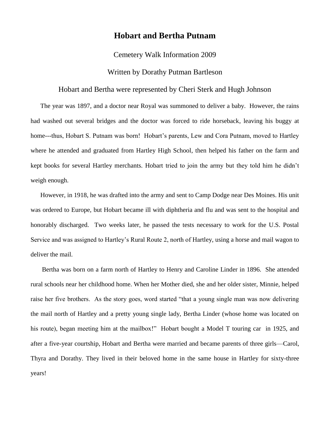## **Hobart and Bertha Putnam**

## Cemetery Walk Information 2009

## Written by Dorathy Putman Bartleson

## Hobart and Bertha were represented by Cheri Sterk and Hugh Johnson

The year was 1897, and a doctor near Royal was summoned to deliver a baby. However, the rains had washed out several bridges and the doctor was forced to ride horseback, leaving his buggy at home---thus, Hobart S. Putnam was born! Hobart's parents, Lew and Cora Putnam, moved to Hartley where he attended and graduated from Hartley High School, then helped his father on the farm and kept books for several Hartley merchants. Hobart tried to join the army but they told him he didn't weigh enough.

However, in 1918, he was drafted into the army and sent to Camp Dodge near Des Moines. His unit was ordered to Europe, but Hobart became ill with diphtheria and flu and was sent to the hospital and honorably discharged. Two weeks later, he passed the tests necessary to work for the U.S. Postal Service and was assigned to Hartley's Rural Route 2, north of Hartley, using a horse and mail wagon to deliver the mail.

Bertha was born on a farm north of Hartley to Henry and Caroline Linder in 1896. She attended rural schools near her childhood home. When her Mother died, she and her older sister, Minnie, helped raise her five brothers. As the story goes, word started "that a young single man was now delivering the mail north of Hartley and a pretty young single lady, Bertha Linder (whose home was located on his route), began meeting him at the mailbox!" Hobart bought a Model T touring car in 1925, and after a five-year courtship, Hobart and Bertha were married and became parents of three girls—Carol, Thyra and Dorathy. They lived in their beloved home in the same house in Hartley for sixty-three years!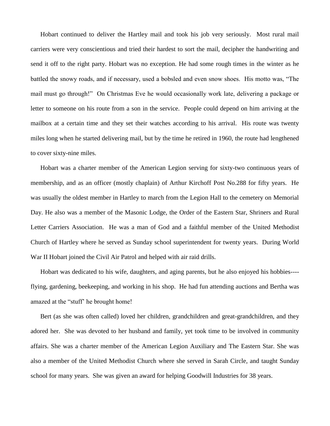Hobart continued to deliver the Hartley mail and took his job very seriously. Most rural mail carriers were very conscientious and tried their hardest to sort the mail, decipher the handwriting and send it off to the right party. Hobart was no exception. He had some rough times in the winter as he battled the snowy roads, and if necessary, used a bobsled and even snow shoes. His motto was, "The mail must go through!" On Christmas Eve he would occasionally work late, delivering a package or letter to someone on his route from a son in the service. People could depend on him arriving at the mailbox at a certain time and they set their watches according to his arrival. His route was twenty miles long when he started delivering mail, but by the time he retired in 1960, the route had lengthened to cover sixty-nine miles.

Hobart was a charter member of the American Legion serving for sixty-two continuous years of membership, and as an officer (mostly chaplain) of Arthur Kirchoff Post No.288 for fifty years. He was usually the oldest member in Hartley to march from the Legion Hall to the cemetery on Memorial Day. He also was a member of the Masonic Lodge, the Order of the Eastern Star, Shriners and Rural Letter Carriers Association. He was a man of God and a faithful member of the United Methodist Church of Hartley where he served as Sunday school superintendent for twenty years. During World War II Hobart joined the Civil Air Patrol and helped with air raid drills.

Hobart was dedicated to his wife, daughters, and aging parents, but he also enjoyed his hobbies--- flying, gardening, beekeeping, and working in his shop. He had fun attending auctions and Bertha was amazed at the "stuff' he brought home!

Bert (as she was often called) loved her children, grandchildren and great-grandchildren, and they adored her. She was devoted to her husband and family, yet took time to be involved in community affairs. She was a charter member of the American Legion Auxiliary and The Eastern Star. She was also a member of the United Methodist Church where she served in Sarah Circle, and taught Sunday school for many years. She was given an award for helping Goodwill Industries for 38 years.